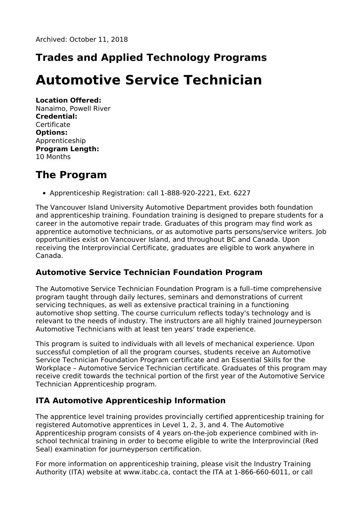# **Trades and Applied Technology Programs**

# **Automotive Service Technician**

**Location Offered:** Nanaimo, Powell River **Credential: Certificate Options:** Apprenticeship **Program Length:** 10 Months

#### **The Program**

Apprenticeship Registration: call 1-888-920-2221, Ext. 6227

The Vancouver Island University Automotive Department provides both foundation and apprenticeship training. Foundation training is designed to prepare students for a career in the automotive repair trade. Graduates of this program may find work as apprentice automotive technicians, or as automotive parts persons/service writers. Job opportunities exist on Vancouver Island, and throughout BC and Canada. Upon receiving the Interprovincial Certificate, graduates are eligible to work anywhere in Canada.

#### **Automotive Service Technician Foundation Program**

The Automotive Service Technician Foundation Program is a full–time comprehensive program taught through daily lectures, seminars and demonstrations of current servicing techniques, as well as extensive practical training in a functioning automotive shop setting. The course curriculum reflects today's technology and is relevant to the needs of industry. The instructors are all highly trained Journeyperson Automotive Technicians with at least ten years' trade experience.

This program is suited to individuals with all levels of mechanical experience. Upon successful completion of all the program courses, students receive an Automotive Service Technician Foundation Program certificate and an Essential Skills for the Workplace – Automotive Service Technician certificate. Graduates of this program may receive credit towards the technical portion of the first year of the Automotive Service Technician Apprenticeship program.

#### **ITA Automotive Apprenticeship Information**

The apprentice level training provides provincially certified apprenticeship training for registered Automotive apprentices in Level 1, 2, 3, and 4. The Automotive Apprenticeship program consists of 4 years on-the-job experience combined with inschool technical training in order to become eligible to write the Interprovincial (Red Seal) examination for journeyperson certification.

For more information on apprenticeship training, please visit the Industry Training Authority (ITA) website at www.itabc.ca, contact the ITA at 1-866-660-6011, or call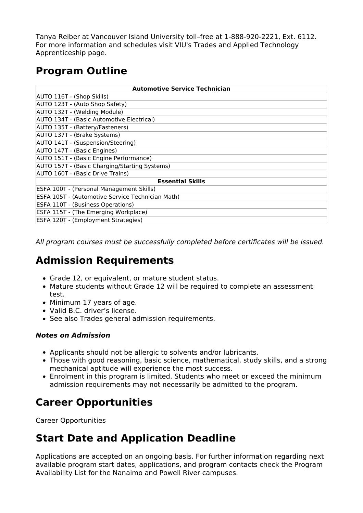Tanya Reiber at Vancouver Island University toll–free at 1-888-920-2221, Ext. 6112. For more information and schedules visit VIU's Trades and Applied Technology Apprenticeship page.

# **Program Outline**

| <b>Automotive Service Technician</b>             |
|--------------------------------------------------|
| AUTO 116T - (Shop Skills)                        |
| AUTO 123T - (Auto Shop Safety)                   |
| AUTO 132T - (Welding Module)                     |
| AUTO 134T - (Basic Automotive Electrical)        |
| AUTO 135T - (Battery/Fasteners)                  |
| AUTO 137T - (Brake Systems)                      |
| AUTO 141T - (Suspension/Steering)                |
| AUTO 147T - (Basic Engines)                      |
| AUTO 151T - (Basic Engine Performance)           |
| AUTO 157T - (Basic Charging/Starting Systems)    |
| AUTO 160T - (Basic Drive Trains)                 |
| <b>Essential Skills</b>                          |
| ESFA 100T - (Personal Management Skills)         |
| ESFA 105T - (Automotive Service Technician Math) |
| <b>ESFA 110T - (Business Operations)</b>         |
| ESFA 115T - (The Emerging Workplace)             |
| ESFA 120T - (Employment Strategies)              |

All program courses must be successfully completed before certificates will be issued.

#### **Admission Requirements**

- Grade 12, or equivalent, or mature student status.
- Mature students without Grade 12 will be required to complete an assessment test.
- Minimum 17 years of age.
- Valid B.C. driver's license.
- See also Trades general admission requirements.

#### **Notes on Admission**

- Applicants should not be allergic to solvents and/or lubricants.
- Those with good reasoning, basic science, mathematical, study skills, and a strong mechanical aptitude will experience the most success.
- Enrolment in this program is limited. Students who meet or exceed the minimum admission requirements may not necessarily be admitted to the program.

# **Career Opportunities**

Career Opportunities

#### **Start Date and Application Deadline**

Applications are accepted on an ongoing basis. For further information regarding next available program start dates, applications, and program contacts check the Program Availability List for the Nanaimo and Powell River campuses.